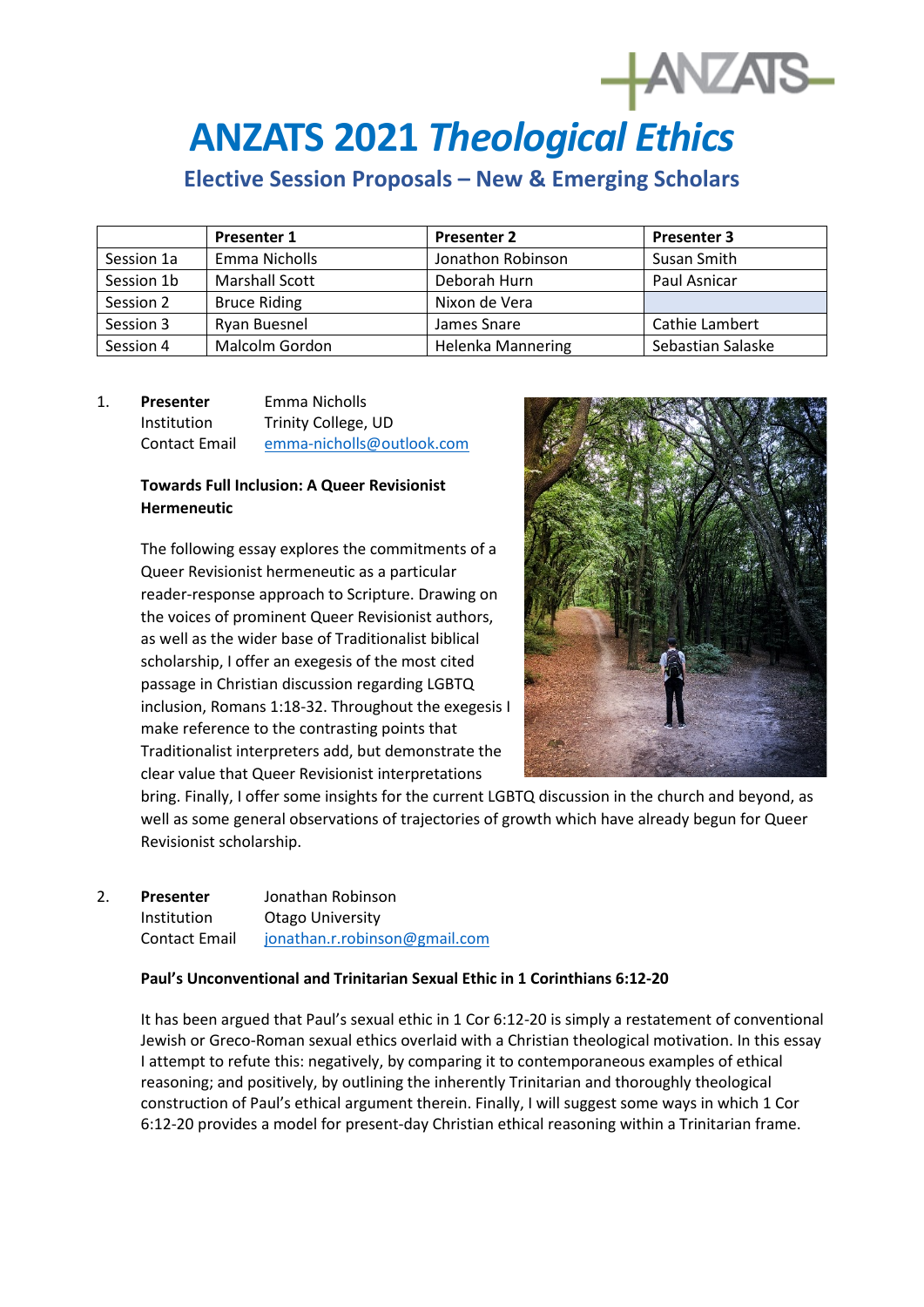# **ANZATS 2021** *Theological Ethics*

# **Elective Session Proposals – New & Emerging Scholars**

|            | <b>Presenter 1</b>    | <b>Presenter 2</b>       | <b>Presenter 3</b> |
|------------|-----------------------|--------------------------|--------------------|
| Session 1a | Emma Nicholls         | Jonathon Robinson        | Susan Smith        |
| Session 1b | <b>Marshall Scott</b> | Deborah Hurn             | Paul Asnicar       |
| Session 2  | <b>Bruce Riding</b>   | Nixon de Vera            |                    |
| Session 3  | Ryan Buesnel          | James Snare              | Cathie Lambert     |
| Session 4  | Malcolm Gordon        | <b>Helenka Mannering</b> | Sebastian Salaske  |

# 1. **Presenter** Emma Nicholls Institution Trinity College, UD Contact Email [emma-nicholls@outlook.com](mailto:emma-nicholls@outlook.com)

# **Towards Full Inclusion: A Queer Revisionist Hermeneutic**

The following essay explores the commitments of a Queer Revisionist hermeneutic as a particular reader-response approach to Scripture. Drawing on the voices of prominent Queer Revisionist authors, as well as the wider base of Traditionalist biblical scholarship, I offer an exegesis of the most cited passage in Christian discussion regarding LGBTQ inclusion, Romans 1:18-32. Throughout the exegesis I make reference to the contrasting points that Traditionalist interpreters add, but demonstrate the clear value that Queer Revisionist interpretations



bring. Finally, I offer some insights for the current LGBTQ discussion in the church and beyond, as well as some general observations of trajectories of growth which have already begun for Queer Revisionist scholarship.

## 2. **Presenter** Jonathan Robinson Institution Otago University Contact Email [jonathan.r.robinson@gmail.com](mailto:jonathan.r.robinson@gmail.com)

#### **Paul's Unconventional and Trinitarian Sexual Ethic in 1 Corinthians 6:12-20**

It has been argued that Paul's sexual ethic in 1 Cor 6:12-20 is simply a restatement of conventional Jewish or Greco-Roman sexual ethics overlaid with a Christian theological motivation. In this essay I attempt to refute this: negatively, by comparing it to contemporaneous examples of ethical reasoning; and positively, by outlining the inherently Trinitarian and thoroughly theological construction of Paul's ethical argument therein. Finally, I will suggest some ways in which 1 Cor 6:12-20 provides a model for present-day Christian ethical reasoning within a Trinitarian frame.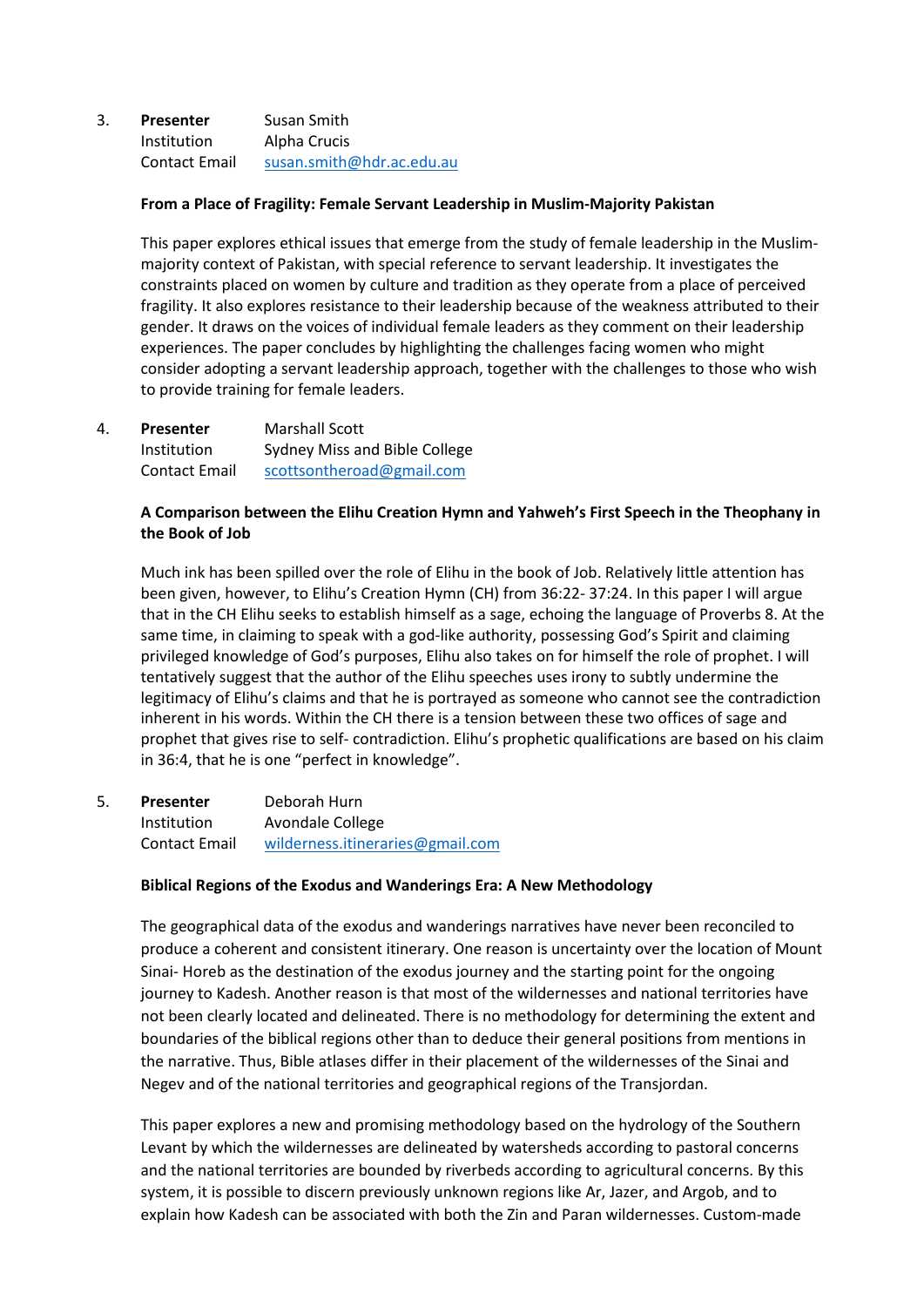## 3. **Presenter** Susan Smith Institution Alpha Crucis Contact Email [susan.smith@hdr.ac.edu.au](mailto:susan.smith@hdr.ac.edu.au)

#### **From a Place of Fragility: Female Servant Leadership in Muslim-Majority Pakistan**

This paper explores ethical issues that emerge from the study of female leadership in the Muslimmajority context of Pakistan, with special reference to servant leadership. It investigates the constraints placed on women by culture and tradition as they operate from a place of perceived fragility. It also explores resistance to their leadership because of the weakness attributed to their gender. It draws on the voices of individual female leaders as they comment on their leadership experiences. The paper concludes by highlighting the challenges facing women who might consider adopting a servant leadership approach, together with the challenges to those who wish to provide training for female leaders.

| 4. | <b>Presenter</b>     | <b>Marshall Scott</b>         |
|----|----------------------|-------------------------------|
|    | Institution          | Sydney Miss and Bible College |
|    | <b>Contact Email</b> | scottsontheroad@gmail.com     |

#### **A Comparison between the Elihu Creation Hymn and Yahweh's First Speech in the Theophany in the Book of Job**

Much ink has been spilled over the role of Elihu in the book of Job. Relatively little attention has been given, however, to Elihu's Creation Hymn (CH) from 36:22- 37:24. In this paper I will argue that in the CH Elihu seeks to establish himself as a sage, echoing the language of Proverbs 8. At the same time, in claiming to speak with a god-like authority, possessing God's Spirit and claiming privileged knowledge of God's purposes, Elihu also takes on for himself the role of prophet. I will tentatively suggest that the author of the Elihu speeches uses irony to subtly undermine the legitimacy of Elihu's claims and that he is portrayed as someone who cannot see the contradiction inherent in his words. Within the CH there is a tension between these two offices of sage and prophet that gives rise to self- contradiction. Elihu's prophetic qualifications are based on his claim in 36:4, that he is one "perfect in knowledge".

5. **Presenter** Deborah Hurn Institution Avondale College Contact Email [wilderness.itineraries@gmail.com](mailto:wilderness.itineraries@gmail.com)

#### **Biblical Regions of the Exodus and Wanderings Era: A New Methodology**

The geographical data of the exodus and wanderings narratives have never been reconciled to produce a coherent and consistent itinerary. One reason is uncertainty over the location of Mount Sinai- Horeb as the destination of the exodus journey and the starting point for the ongoing journey to Kadesh. Another reason is that most of the wildernesses and national territories have not been clearly located and delineated. There is no methodology for determining the extent and boundaries of the biblical regions other than to deduce their general positions from mentions in the narrative. Thus, Bible atlases differ in their placement of the wildernesses of the Sinai and Negev and of the national territories and geographical regions of the Transjordan.

This paper explores a new and promising methodology based on the hydrology of the Southern Levant by which the wildernesses are delineated by watersheds according to pastoral concerns and the national territories are bounded by riverbeds according to agricultural concerns. By this system, it is possible to discern previously unknown regions like Ar, Jazer, and Argob, and to explain how Kadesh can be associated with both the Zin and Paran wildernesses. Custom-made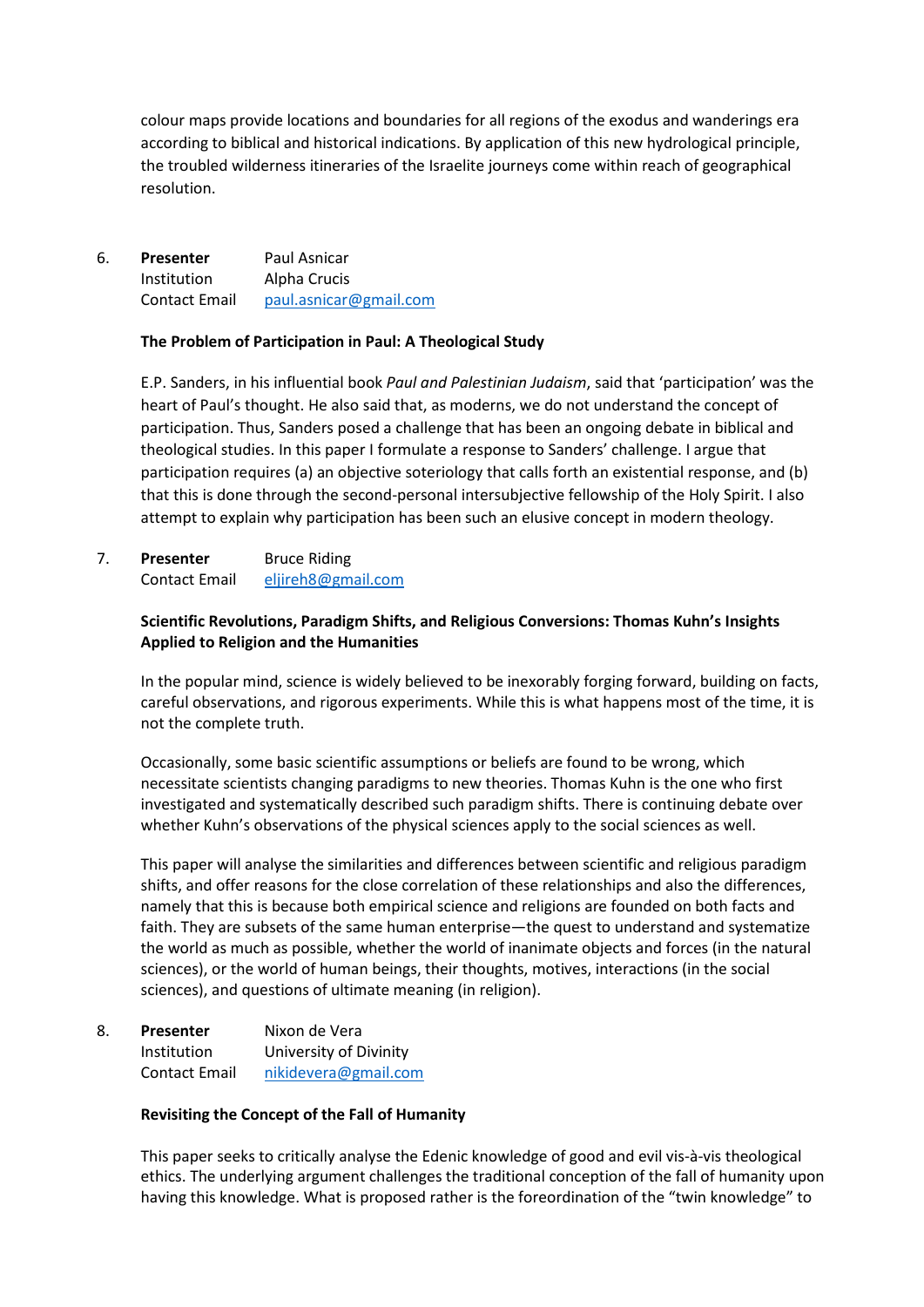colour maps provide locations and boundaries for all regions of the exodus and wanderings era according to biblical and historical indications. By application of this new hydrological principle, the troubled wilderness itineraries of the Israelite journeys come within reach of geographical resolution.

6. **Presenter** Paul Asnicar Institution Alpha Crucis Contact Email [paul.asnicar@gmail.com](mailto:paul.asnicar@gmail.com)

#### **The Problem of Participation in Paul: A Theological Study**

E.P. Sanders, in his influential book *Paul and Palestinian Judaism*, said that 'participation' was the heart of Paul's thought. He also said that, as moderns, we do not understand the concept of participation. Thus, Sanders posed a challenge that has been an ongoing debate in biblical and theological studies. In this paper I formulate a response to Sanders' challenge. I argue that participation requires (a) an objective soteriology that calls forth an existential response, and (b) that this is done through the second-personal intersubjective fellowship of the Holy Spirit. I also attempt to explain why participation has been such an elusive concept in modern theology.

# 7. **Presenter** Bruce Riding Contact Email [eljireh8@gmail.com](mailto:eljireh8@gmail.com)

## **Scientific Revolutions, Paradigm Shifts, and Religious Conversions: Thomas Kuhn's Insights Applied to Religion and the Humanities**

In the popular mind, science is widely believed to be inexorably forging forward, building on facts, careful observations, and rigorous experiments. While this is what happens most of the time, it is not the complete truth.

Occasionally, some basic scientific assumptions or beliefs are found to be wrong, which necessitate scientists changing paradigms to new theories. Thomas Kuhn is the one who first investigated and systematically described such paradigm shifts. There is continuing debate over whether Kuhn's observations of the physical sciences apply to the social sciences as well.

This paper will analyse the similarities and differences between scientific and religious paradigm shifts, and offer reasons for the close correlation of these relationships and also the differences, namely that this is because both empirical science and religions are founded on both facts and faith. They are subsets of the same human enterprise—the quest to understand and systematize the world as much as possible, whether the world of inanimate objects and forces (in the natural sciences), or the world of human beings, their thoughts, motives, interactions (in the social sciences), and questions of ultimate meaning (in religion).

| 8. | Presenter     | Nixon de Vera          |
|----|---------------|------------------------|
|    | Institution   | University of Divinity |
|    | Contact Email | nikidevera@gmail.com   |

#### **Revisiting the Concept of the Fall of Humanity**

This paper seeks to critically analyse the Edenic knowledge of good and evil vis-à-vis theological ethics. The underlying argument challenges the traditional conception of the fall of humanity upon having this knowledge. What is proposed rather is the foreordination of the "twin knowledge" to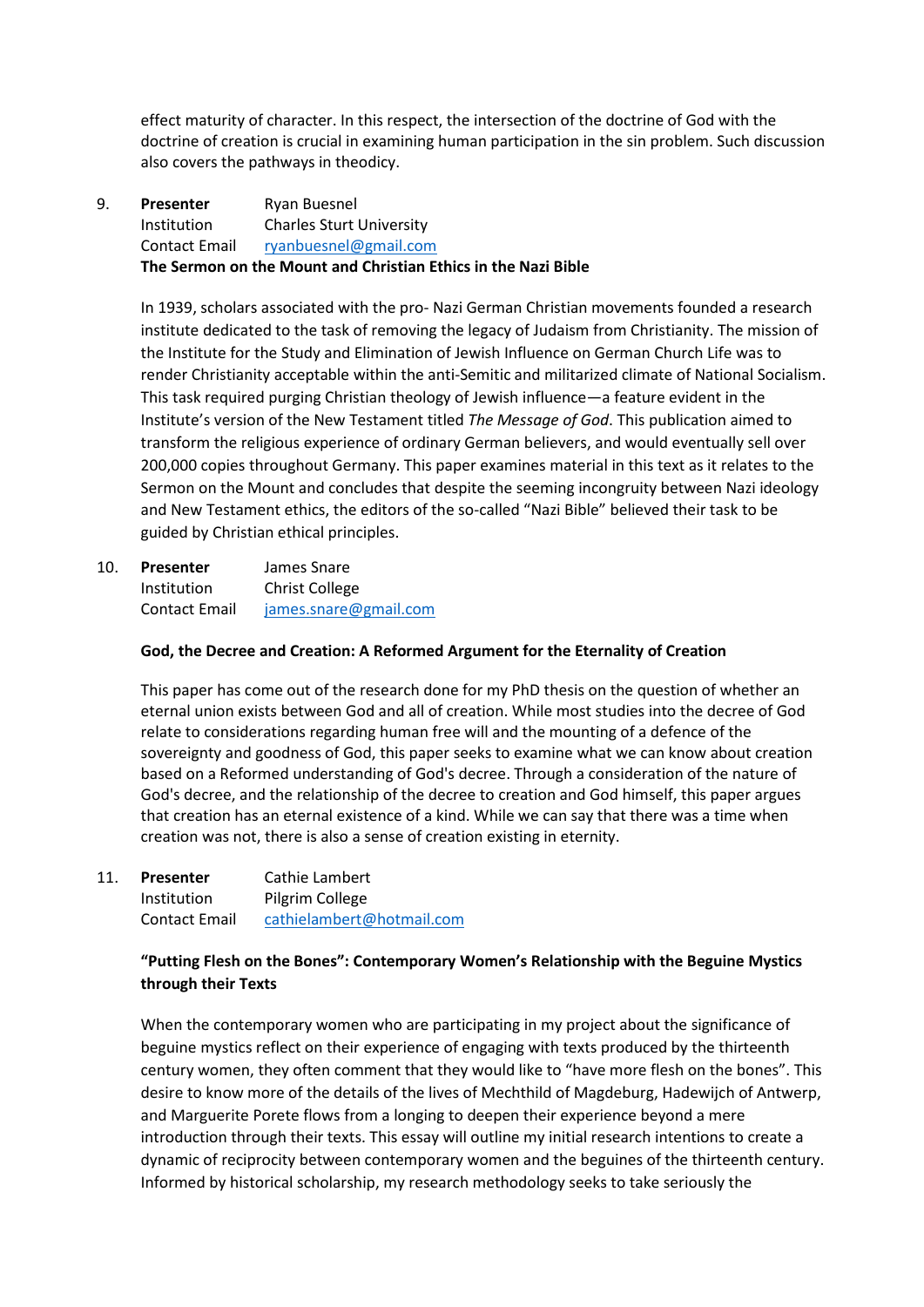effect maturity of character. In this respect, the intersection of the doctrine of God with the doctrine of creation is crucial in examining human participation in the sin problem. Such discussion also covers the pathways in theodicy.

9. **Presenter** Ryan Buesnel Institution Charles Sturt University Contact Email [ryanbuesnel@gmail.com](mailto:ryanbuesnel@gmail.com) **The Sermon on the Mount and Christian Ethics in the Nazi Bible**

In 1939, scholars associated with the pro- Nazi German Christian movements founded a research institute dedicated to the task of removing the legacy of Judaism from Christianity. The mission of the Institute for the Study and Elimination of Jewish Influence on German Church Life was to render Christianity acceptable within the anti-Semitic and militarized climate of National Socialism. This task required purging Christian theology of Jewish influence—a feature evident in the Institute's version of the New Testament titled *The Message of God*. This publication aimed to transform the religious experience of ordinary German believers, and would eventually sell over 200,000 copies throughout Germany. This paper examines material in this text as it relates to the Sermon on the Mount and concludes that despite the seeming incongruity between Nazi ideology and New Testament ethics, the editors of the so-called "Nazi Bible" believed their task to be guided by Christian ethical principles.

10. **Presenter** James Snare Institution Christ College Contact Email [james.snare@gmail.com](mailto:james.snare@gmail.com)

#### **God, the Decree and Creation: A Reformed Argument for the Eternality of Creation**

This paper has come out of the research done for my PhD thesis on the question of whether an eternal union exists between God and all of creation. While most studies into the decree of God relate to considerations regarding human free will and the mounting of a defence of the sovereignty and goodness of God, this paper seeks to examine what we can know about creation based on a Reformed understanding of God's decree. Through a consideration of the nature of God's decree, and the relationship of the decree to creation and God himself, this paper argues that creation has an eternal existence of a kind. While we can say that there was a time when creation was not, there is also a sense of creation existing in eternity.

11. **Presenter** Cathie Lambert Institution Pilgrim College Contact Email [cathielambert@hotmail.com](mailto:cathielambert@hotmail.com)

# **"Putting Flesh on the Bones": Contemporary Women's Relationship with the Beguine Mystics through their Texts**

When the contemporary women who are participating in my project about the significance of beguine mystics reflect on their experience of engaging with texts produced by the thirteenth century women, they often comment that they would like to "have more flesh on the bones". This desire to know more of the details of the lives of Mechthild of Magdeburg, Hadewijch of Antwerp, and Marguerite Porete flows from a longing to deepen their experience beyond a mere introduction through their texts. This essay will outline my initial research intentions to create a dynamic of reciprocity between contemporary women and the beguines of the thirteenth century. Informed by historical scholarship, my research methodology seeks to take seriously the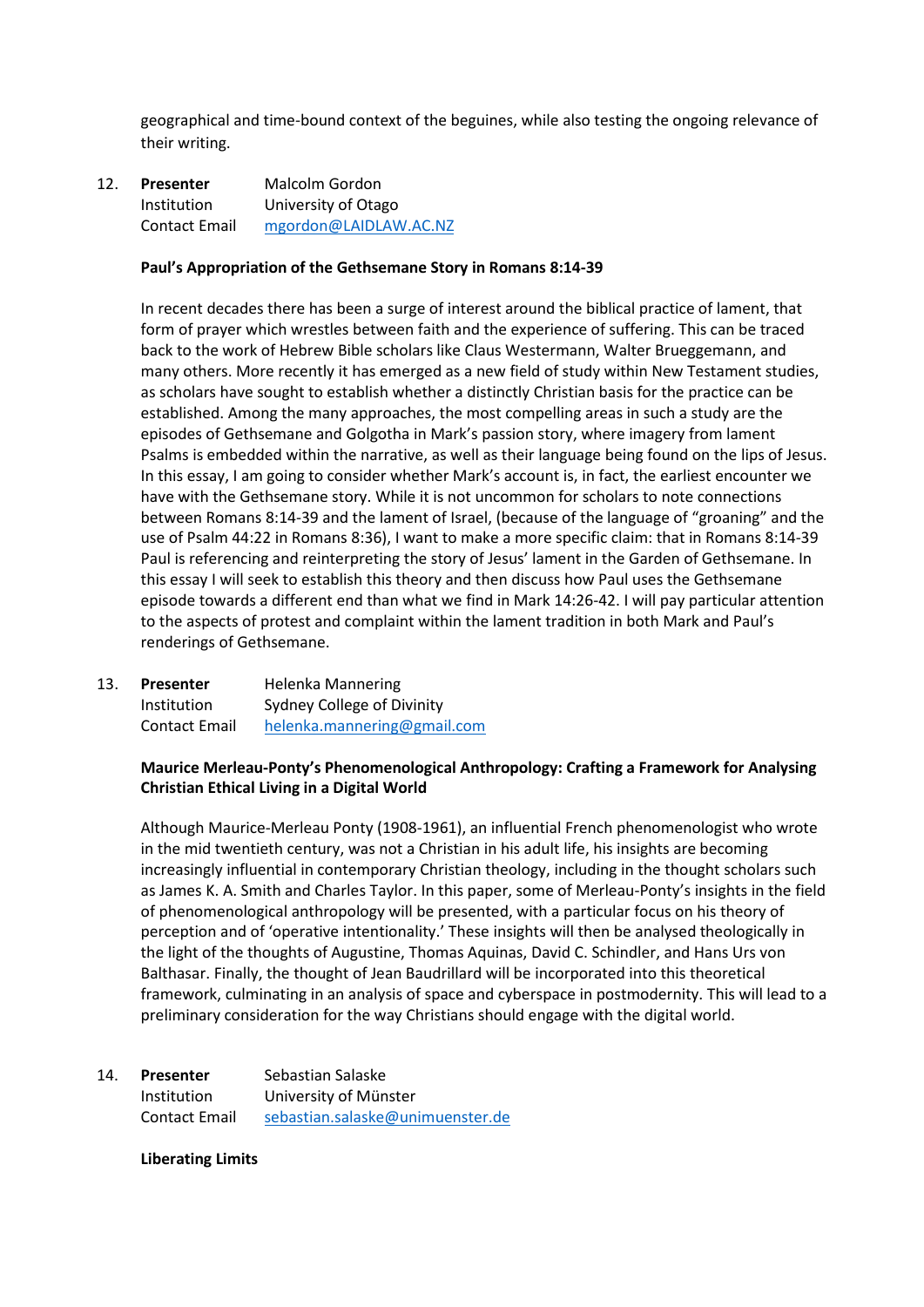geographical and time-bound context of the beguines, while also testing the ongoing relevance of their writing.

12. **Presenter** Malcolm Gordon Institution University of Otago Contact Email [mgordon@LAIDLAW.AC.NZ](mailto:mgordon@LAIDLAW.AC.NZ)

#### **Paul's Appropriation of the Gethsemane Story in Romans 8:14-39**

In recent decades there has been a surge of interest around the biblical practice of lament, that form of prayer which wrestles between faith and the experience of suffering. This can be traced back to the work of Hebrew Bible scholars like Claus Westermann, Walter Brueggemann, and many others. More recently it has emerged as a new field of study within New Testament studies, as scholars have sought to establish whether a distinctly Christian basis for the practice can be established. Among the many approaches, the most compelling areas in such a study are the episodes of Gethsemane and Golgotha in Mark's passion story, where imagery from lament Psalms is embedded within the narrative, as well as their language being found on the lips of Jesus. In this essay, I am going to consider whether Mark's account is, in fact, the earliest encounter we have with the Gethsemane story. While it is not uncommon for scholars to note connections between Romans 8:14-39 and the lament of Israel, (because of the language of "groaning" and the use of Psalm 44:22 in Romans 8:36), I want to make a more specific claim: that in Romans 8:14-39 Paul is referencing and reinterpreting the story of Jesus' lament in the Garden of Gethsemane. In this essay I will seek to establish this theory and then discuss how Paul uses the Gethsemane episode towards a different end than what we find in Mark 14:26-42. I will pay particular attention to the aspects of protest and complaint within the lament tradition in both Mark and Paul's renderings of Gethsemane.

13. **Presenter** Helenka Mannering Institution Sydney College of Divinity Contact Email [helenka.mannering@gmail.com](mailto:helenka.mannering@gmail.com)

#### **Maurice Merleau-Ponty's Phenomenological Anthropology: Crafting a Framework for Analysing Christian Ethical Living in a Digital World**

Although Maurice-Merleau Ponty (1908-1961), an influential French phenomenologist who wrote in the mid twentieth century, was not a Christian in his adult life, his insights are becoming increasingly influential in contemporary Christian theology, including in the thought scholars such as James K. A. Smith and Charles Taylor. In this paper, some of Merleau-Ponty's insights in the field of phenomenological anthropology will be presented, with a particular focus on his theory of perception and of 'operative intentionality.' These insights will then be analysed theologically in the light of the thoughts of Augustine, Thomas Aquinas, David C. Schindler, and Hans Urs von Balthasar. Finally, the thought of Jean Baudrillard will be incorporated into this theoretical framework, culminating in an analysis of space and cyberspace in postmodernity. This will lead to a preliminary consideration for the way Christians should engage with the digital world.

| 14. | <b>Presenter</b>     | Sebastian Salaske                |
|-----|----------------------|----------------------------------|
|     | Institution          | University of Münster            |
|     | <b>Contact Email</b> | sebastian.salaske@unimuenster.de |

#### **Liberating Limits**